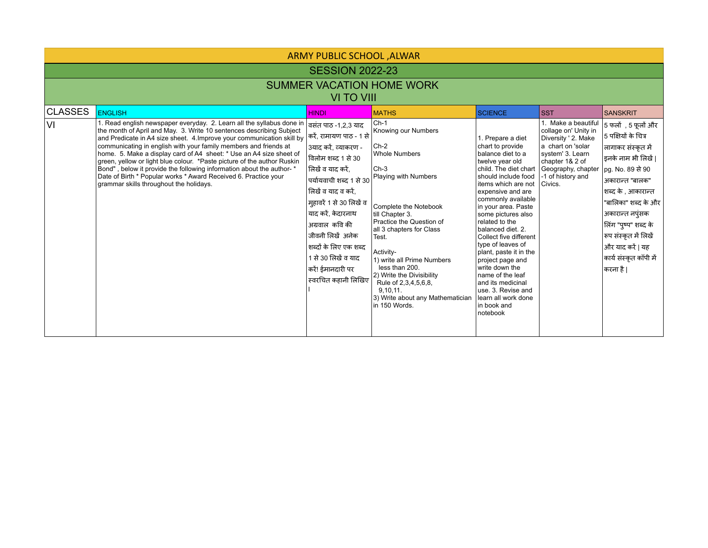| ARMY PUBLIC SCHOOL , ALWAR                     |                                                                                                                                                                                                                                                                                                                                                                                                                                                                                                                                                                                                                                      |                                                                                                                                                                                                                                                                                                                                                           |                                                                                                                                                                                                                                                                                                                                                                                            |                                                                                                                                                                                                                                                                                                                                                                                                                                                                                                                                           |                                                                                                                                                                |                                                                                                                                                                                                                                                                                                                           |  |  |  |  |  |  |
|------------------------------------------------|--------------------------------------------------------------------------------------------------------------------------------------------------------------------------------------------------------------------------------------------------------------------------------------------------------------------------------------------------------------------------------------------------------------------------------------------------------------------------------------------------------------------------------------------------------------------------------------------------------------------------------------|-----------------------------------------------------------------------------------------------------------------------------------------------------------------------------------------------------------------------------------------------------------------------------------------------------------------------------------------------------------|--------------------------------------------------------------------------------------------------------------------------------------------------------------------------------------------------------------------------------------------------------------------------------------------------------------------------------------------------------------------------------------------|-------------------------------------------------------------------------------------------------------------------------------------------------------------------------------------------------------------------------------------------------------------------------------------------------------------------------------------------------------------------------------------------------------------------------------------------------------------------------------------------------------------------------------------------|----------------------------------------------------------------------------------------------------------------------------------------------------------------|---------------------------------------------------------------------------------------------------------------------------------------------------------------------------------------------------------------------------------------------------------------------------------------------------------------------------|--|--|--|--|--|--|
| <b>SESSION 2022-23</b>                         |                                                                                                                                                                                                                                                                                                                                                                                                                                                                                                                                                                                                                                      |                                                                                                                                                                                                                                                                                                                                                           |                                                                                                                                                                                                                                                                                                                                                                                            |                                                                                                                                                                                                                                                                                                                                                                                                                                                                                                                                           |                                                                                                                                                                |                                                                                                                                                                                                                                                                                                                           |  |  |  |  |  |  |
| <b>SUMMER VACATION HOME WORK</b><br>VI TO VIII |                                                                                                                                                                                                                                                                                                                                                                                                                                                                                                                                                                                                                                      |                                                                                                                                                                                                                                                                                                                                                           |                                                                                                                                                                                                                                                                                                                                                                                            |                                                                                                                                                                                                                                                                                                                                                                                                                                                                                                                                           |                                                                                                                                                                |                                                                                                                                                                                                                                                                                                                           |  |  |  |  |  |  |
| <b>CLASSES</b>                                 | <b>ENGLISH</b>                                                                                                                                                                                                                                                                                                                                                                                                                                                                                                                                                                                                                       | <b>HINDI</b>                                                                                                                                                                                                                                                                                                                                              | <b>MATHS</b>                                                                                                                                                                                                                                                                                                                                                                               | <b>SCIENCE</b>                                                                                                                                                                                                                                                                                                                                                                                                                                                                                                                            | <b>SST</b>                                                                                                                                                     | <b>SANSKRIT</b>                                                                                                                                                                                                                                                                                                           |  |  |  |  |  |  |
| VI                                             | 1. Read english newspaper everyday. 2. Learn all the syllabus done in<br>the month of April and May. 3. Write 10 sentences describing Subject<br>and Predicate in A4 size sheet. 4. Improve your communication skill by<br>communicating in english with your family members and friends at<br>home. 5. Make a display card of A4 sheet: * Use an A4 size sheet of<br>green, yellow or light blue colour. *Paste picture of the author Ruskin<br>Bond", below it provide the following information about the author- *<br>Date of Birth * Popular works * Award Received 6. Practice your<br>grammar skills throughout the holidays. | वसंत पाठ -1,2,3 याद<br> करें, रामायण पाठ - 1 से<br>3याद करें, व्याकरण -<br>विलोम शब्द 1 से 30<br> लिखें व याद करें.<br>पर्यायवाची शब्द 1 से 30<br>लिखें व याद व करें,<br>मुहावरें 1 से 30 लिखें व<br>याद करें, केदारनाथ<br>अग्रवाल कवि की<br>जीवनी लिखें अनेक<br>शब्दों के लिए एक शब्द<br>1 से 30 लिखें व याद<br>करें! ईमानदारी पर<br>स्वरचित कहानी लिखिए | $ Ch-1 $<br>Knowing our Numbers<br>$Ch-2$<br>Whole Numbers<br>Ch-3<br>Playing with Numbers<br>Complete the Notebook<br>till Chapter 3.<br>Practice the Question of<br>all 3 chapters for Class<br>Test.<br>Activity-<br>1) write all Prime Numbers<br>less than 200.<br>2) Write the Divisibility<br>Rule of 2,3,4,5,6,8,<br>9.10.11.<br>3) Write about any Mathematician<br>in 150 Words. | 1. Prepare a diet<br>chart to provide<br>balance diet to a<br>twelve year old<br>child. The diet chart   Geography, chapter<br>should include food<br>items which are not<br>expensive and are<br>commonly available<br>in your area. Paste<br>some pictures also<br>related to the<br>balanced diet. 2.<br>Collect five different<br>type of leaves of<br>plant, paste it in the<br>project page and<br>write down the<br>name of the leaf<br>and its medicinal<br>use, 3. Revise and<br>llearn all work done<br>in book and<br>notebook | 1. Make a beautiful<br>collage on' Unity in<br>Diversity ' 2. Make<br>a chart on 'solar<br>system' 3. Learn<br>chapter 1& 2 of<br>-1 of history and<br>Civics. | $ $ 5 फलों $\,$ , 5 फूलों और $\,$<br>5 पक्षियों के चित्र<br> लागाकर संस्कृत में<br>इनके नाम भी लिखें  <br> pg. No. 89 से 90<br>अकारान्त "बालक"<br>शब्द के , आकारान्त<br>"बालिका" शब्द के और<br>अकारान्त नपुंसक<br>तिंग "पुष्प" शब्द के<br>रूप संस्कृत में लिखें<br>और याद करें   यह<br>कार्य संस्कृत कॉपी में<br> करना है |  |  |  |  |  |  |